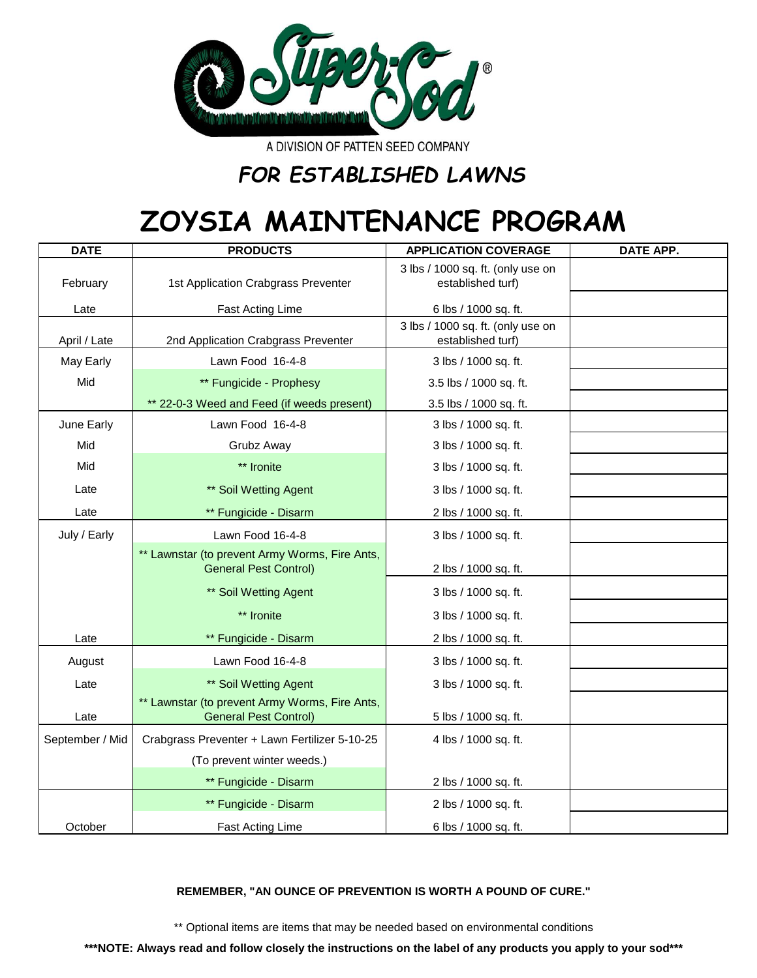

A DIVISION OF PATTEN SEED COMPANY

## *FOR ESTABLISHED LAWNS*

# **ZOYSIA MAINTENANCE PROGRAM**

| <b>DATE</b>     | <b>PRODUCTS</b>                                                                | <b>APPLICATION COVERAGE</b>                            | <b>DATE APP.</b> |
|-----------------|--------------------------------------------------------------------------------|--------------------------------------------------------|------------------|
| February        | 1st Application Crabgrass Preventer                                            | 3 lbs / 1000 sq. ft. (only use on<br>established turf) |                  |
| Late            | <b>Fast Acting Lime</b>                                                        | 6 lbs / 1000 sq. ft.                                   |                  |
| April / Late    | 2nd Application Crabgrass Preventer                                            | 3 lbs / 1000 sq. ft. (only use on<br>established turf) |                  |
| May Early       | Lawn Food 16-4-8                                                               | 3 lbs / 1000 sq. ft.                                   |                  |
| Mid             | ** Fungicide - Prophesy                                                        | 3.5 lbs / 1000 sq. ft.                                 |                  |
|                 | ** 22-0-3 Weed and Feed (if weeds present)                                     | 3.5 lbs / 1000 sq. ft.                                 |                  |
| June Early      | Lawn Food 16-4-8                                                               | 3 lbs / 1000 sq. ft.                                   |                  |
| Mid             | Grubz Away                                                                     | 3 lbs / 1000 sq. ft.                                   |                  |
| Mid             | ** Ironite                                                                     | 3 lbs / 1000 sq. ft.                                   |                  |
| Late            | ** Soil Wetting Agent                                                          | 3 lbs / 1000 sq. ft.                                   |                  |
| Late            | ** Fungicide - Disarm                                                          | 2 lbs / 1000 sq. ft.                                   |                  |
| July / Early    | Lawn Food 16-4-8                                                               | 3 lbs / 1000 sq. ft.                                   |                  |
|                 | ** Lawnstar (to prevent Army Worms, Fire Ants,<br><b>General Pest Control)</b> | 2 lbs / 1000 sq. ft.                                   |                  |
|                 | ** Soil Wetting Agent                                                          | 3 lbs / 1000 sq. ft.                                   |                  |
|                 | ** Ironite                                                                     | 3 lbs / 1000 sq. ft.                                   |                  |
| Late            | ** Fungicide - Disarm                                                          | 2 lbs / 1000 sq. ft.                                   |                  |
| August          | Lawn Food 16-4-8                                                               | 3 lbs / 1000 sq. ft.                                   |                  |
| Late            | <b>** Soil Wetting Agent</b>                                                   | 3 lbs / 1000 sq. ft.                                   |                  |
| Late            | ** Lawnstar (to prevent Army Worms, Fire Ants,<br><b>General Pest Control)</b> | 5 lbs / 1000 sq. ft.                                   |                  |
| September / Mid | Crabgrass Preventer + Lawn Fertilizer 5-10-25                                  | 4 lbs / 1000 sq. ft.                                   |                  |
|                 | (To prevent winter weeds.)                                                     |                                                        |                  |
|                 | ** Fungicide - Disarm                                                          | 2 lbs / 1000 sq. ft.                                   |                  |
|                 | ** Fungicide - Disarm                                                          | 2 lbs / 1000 sq. ft.                                   |                  |
| October         | <b>Fast Acting Lime</b>                                                        | 6 lbs / 1000 sq. ft.                                   |                  |

### **REMEMBER, "AN OUNCE OF PREVENTION IS WORTH A POUND OF CURE."**

\*\* Optional items are items that may be needed based on environmental conditions

**\*\*\*NOTE: Always read and follow closely the instructions on the label of any products you apply to your sod\*\*\***